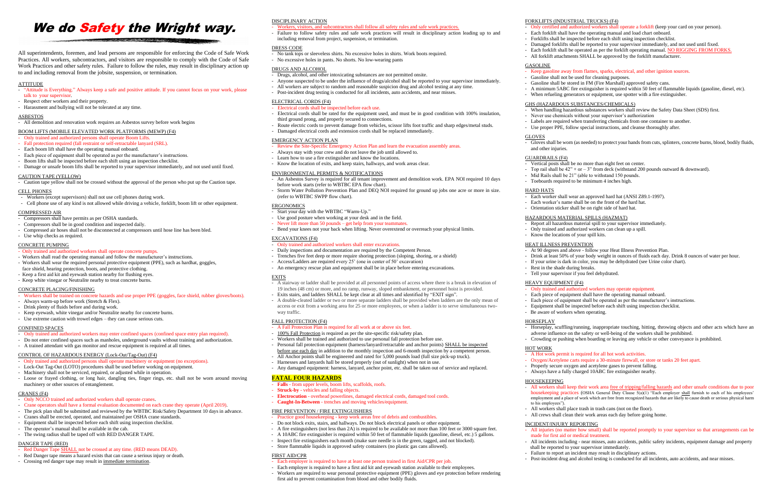# We do **Safety** the Wright way.

All superintendents, foremen, and lead persons are responsible for enforcing the Code of Safe Work Practices. All workers, subcontractors, and visitors are responsible to comply with the Code of Safe Work Practices and other safety rules. Failure to follow the rules, may result in disciplinary action up to and including removal from the jobsite, suspension, or termination.

## **ATTITUDE**

#### - "Attitude is Everything." Always keep a safe and positive attitude. If you cannot focus on your work, please talk to your supervisor.

- Respect other workers and their property.
- Harassment and bullying will not be tolerated at any time.

#### ASBESTOS

- All demolition and renovation work requires an Asbestos survey before work begins

## BOOM LIFTS (MOBILE ELEVATED WORK PLATFORMS (MEWP) (F4)

- Only trained and authorized persons shall operate Boom Lifts.
- Fall protection required (fall restraint or self-retractable lanyard (SRL).
- Each boom lift shall have the operating manual onboard.
- Each piece of equipment shall be operated as per the manufacturer's instructions.
- Boom lifts shall be inspected before each shift using an inspection checklist.
- Damage or unsafe boom lifts shall be reported to your supervisor immediately, and not used until fixed.

#### CAUTION TAPE (YELLOW)

- Caution tape yellow shall not be crossed without the approval of the person who put up the Caution tape.

#### CELL PHONES

- Workers (except supervisors) shall not use cell phones during work.
- Cell phone use of any kind is not allowed while driving a vehicle, forklift, boom lift or other equipment.

# COMPRESSED AIR

- Compressors shall have permits as per OSHA standards.
- Compressors shall be in good condition and inspected daily.
- Compressed air hoses shall not be disconnected at compressors until hose line has been bled.
- Use whip checks as required.

#### CONCRETE PUMPING

- Only trained and authorized workers shall operate concrete pumps.
- Workers shall read the operating manual and follow the manufacturer's instructions.
- Workers shall wear the required personal protective equipment (PPE), such as hardhat, goggles, face shield, hearing protection, boots, and protective clothing.
- Keep a first aid kit and eyewash station nearby for flushing eyes.
- Keep white vinegar or Neutralite nearby to treat concrete burns.

- Red Danger Tape SHALL not be crossed at any time. (RED means DEAD).
- Red Danger tape means a hazard exists that can cause a serious injury or death.
- Crossing red danger tape may result in immediate termination.

## CONCRETE PLACING/FINISHING

- Workers shall be trained on concrete hazards and use proper PPE (goggles, face shield, rubber gloves/boots).
- Always warm-up before work (Stretch & Flex).
- Drink plenty of fluids before and during work.
- Keep eyewash, white vinegar and/or Neutralite nearby for concrete burns. - Use extreme caution with trowel edges – they can cause serious cuts.
- 

# CONFINED SPACES

- Only trained and authorized workers may enter confined spaces (confined space entry plan required). - Do not enter confined spaces such as manholes, underground vaults without training and authorization.
- 
- A trained attendant with gas monitor and rescue equipment is required at all times.

# CONTROL OF HAZARDOUS ENERGY (Lock-Out/Tag-Out) (F4)

- Only trained and authorized workers shall enter excavations.
- Daily inspections and documentation are required by the Competent Person.
- Trenches five feet deep or more require shoring protection (sloping, shoring, or a shield)
- Access/Ladders are required every 25' (one in center of 50' excavation)
- An emergency rescue plan and equipment shall be in place before entering excavations.

- Only trained and authorized persons shall operate machinery or equipment (no exceptions).
- Lock-Out Tag-Out (LOTO) procedures shall be used before working on equipment.
- Machinery shall not be serviced, repaired, or adjusted while in operation.
- Loose or frayed clothing, or long hair, dangling ties, finger rings, etc. shall not be worn around moving machinery or other sources of entanglement.

#### CRANES (F4)

- Only NCCO trained and authorized workers shall operate cranes.
- Crane operators shall have a formal evaluation documented on each crane they operate (April 2019).
- The pick plan shall be submitted and reviewed by the WBTBC Risk/Safety Department 10 days in advance.
- Cranes shall be erected, operated, and maintained per OSHA crane standards. - Equipment shall be inspected before each shift using inspection checklist.
- 
- The operator's manual shall be available in the cab. - The swing radius shall be taped off with RED DANGER TAPE.
- 

- 100% Fall Protection is required as per the site-specific risk/safety plan. - Workers shall be trained and authorized to use personal fall protection before use.

- Personal fall protection equipment (harness/lanyard/retractable and anchor points) SHALL be inspected before use each day in addition to the monthly inspection and 6-month inspection by a competent person.

# DANGER TAPE (RED)

## DISCIPLINARY ACTION

- Workers, visitors, and subcontractors shall follow all safety rules and safe work practices.
- Failure to follow safety rules and safe work practices will result in disciplinary action leading up to and including removal from project, suspension, or termination.

#### DRESS CODE

- No tank tops or sleeveless shirts. No excessive holes in shirts. Work boots required.
- No excessive holes in pants. No shorts. No low-wearing pants

#### DRUGS AND ALCOHOL

- Drugs, alcohol, and other intoxicating substances are not permitted onsite.
- Anyone suspected to be under the influence of drugs/alcohol shall be reported to your supervisor immediately.
- All workers are subject to random and reasonable suspicion drug and alcohol testing at any time.
- Post-incident drug testing is conducted for all incidents, auto accidents, and near misses.

### ELECTRICAL CORDS (F4)

- Electrical cords shall be inspected before each use.
- Electrical cords shall be rated for the equipment used, and must be in good condition with 100% insulation, third ground prong, and properly secured to connections.
- Route electric cords to prevent damage from vehicles, scissor lifts foot traffic and sharp edges/metal studs.
- Damaged electrical cords and extension cords shall be replaced immediately.

#### EMERGENCY ACTION PLAN

- Review the Site-Specific Emergency Action Plan and learn the evacuation assembly areas.
- Always stay with your crew and do not leave the job until allowed to.
- Learn how to use a fire extinguisher and know the locations.
- Know the location of exits, and keep stairs, hallways, and work areas clear.

## ENVIRONMENTAL PERMITS & NOTIFICATIONS

- An Asbestos Survey is required for all tenant improvement and demolition work. EPA NOI required 10 days before work starts (refer to WBTBC EPA flow chart).
- Storm Water Pollution Prevention Plan and DEQ NOI required for ground up jobs one acre or more in size. (refer to WBTBC SWPP flow chart).

### ERGONOMICS

- Start your day with the WBTBC "Warm-Up."
- Use good posture when working at your desk and in the field.
- Never lift more than 50 pounds get help from your teammates.
- Bend your knees not your back when lifting. Never overextend or overreach your physical limits.

#### EXCAVATIONS (F4)

# EXITS

- A stairway or ladder shall be provided at all personnel points of access where there is a break in elevation of 19 inches (48 cm) or more, and no ramp, runway, sloped embankment, or personnel hoist is provided.
- Exits stairs, and ladders SHALL be kept clear at all times and identified by "EXIT sign".
- A double-cleated ladder or two or more separate ladders shall be provided when ladders are the only mean of access or exit from a working area for 25 or more employees, or when a ladder is to serve simultaneous twoway traffic.

#### FALL PROTECTION (F4)

## - A Fall Protection Plan is required for all work at or above six feet.

- All Anchor points shall be engineered and rated for 5,000 pounds load (full size pick-up truck).

- Harnesses and lanyards hall be stored properly (out of sunlight) when not in use.

- Any damaged equipment: harness, lanyard, anchor point, etc. shall be taken out of service and replaced.

**FATAL FOUR HAZARDS**

- **Falls** - from upper levels, boom lifts, scaffolds, roofs.

- **Struck-by** - vehicles and falling objects.

- **Electrocution** - overhead powerlines, damaged electrical cords, damaged tool cords.

- **Caught-In-Between** - trenches and moving vehicles/equipment.

FIRE PREVENTION / FIRE EXTINGUISHERS

- Practice good housekeeping - keep work areas free of debris and combustibles.

- Do not block exits, stairs, and hallways. Do not block electrical panels or other equipment.

- A fire extinguishers (not less than 2A) is required to be available not more than 100 feet or 3000 square feet. - A 10ABC fire extinguisher is required within 50 feet of flammable liquids (gasoline, diesel, etc.) 5 gallons. - Inspect fire extinguishers each month (make sure needle is in the green, tagged, and not blocked).

- Store flammable liquids in approved safety containers (no plastic gas cans allowed).

FIRST AID/CPR

- Each employer is required to have at least one person trained in first Aid/CPR per job.

- Each employer is required to have a first aid kit and eyewash station available to their employees. - Workers are required to wear personal protective equipment (PPE) gloves and eye protection before rendering

first aid to prevent contamination from blood and other bodily fluids.

# FORKLIFTS (INDUSTRIAL TRUCKS) (F4)

- Only certified and authorized workers shall operate a forklift (keep your card on your person).

- Each forklift shall have the operating manual and load chart onboard. - Forklifts shall be inspected before each shift using inspection checklist.

- Damaged forklifts shall be reported to your supervisor immediately, and not used until fixed.

- Each forklift shall be operated as per the forklift operating manual. NO RIGGING FROM FORKS.

- All forklift attachments SHALL be approved by the forklift manufacturer.

GASOLINE

#### - Keep gasoline away from flames, sparks, electrical, and other ignition sources.

- Gasoline shall not be used for cleaning purposes.

- Gasoline shall be stored in FM (Fire Marshall) approved safety cans.

- A minimum 5ABC fire extinguisher is required within 50 feet of flammable liquids (gasoline, diesel, etc). - When refueling generators or equipment, use spotter with a fire extinguisher.

# GHS (HAZARDOUS SUBSTANCES/CHEMICALS)

- When handling hazardous substances workers shall review the Safety Data Sheet (SDS) first.

- Never use chemicals without your supervisor's authorization

- Labels are required when transferring chemicals from one container to another.

- Use proper PPE, follow special instructions, and cleanse thoroughly after.

GLOVES

- Gloves shall be worn (as needed) to protect your hands from cuts, splinters, concrete burns, blood, bodily fluids,

and other injuries. GUARDRAILS (F4)

- Vertical posts shall be no more than eight feet on center. - Top rail shall be  $42$ " + or  $-3$ " from deck (withstand 200 pounds outward & downward). - Mid Rails shall be 21" (able to withstand 150 pounds. - Toeboards required to be minimum 4 inches high.

HARD HATS

- Each worker shall wear an approved hard hat (ANSI Z89.1-1997). - Each worker's name shall be on the front of the hard hat. - Orientation sticker shall be on right side of hard hat.

### HAZARDOUS MATERIAL SPILLS (HAZMAT)

- Report all hazardous material spill to your supervisor immediately. - Only trained and authorized workers can clean up a spill. - Know the locations of your spill kits.

## HEAT ILLNESS PREVENTION

- At 90 degrees and above - follow your Heat Illness Prevention Plan. - Drink at least 50% of your body weight in ounces of fluids each day. Drink 8 ounces of water per hour. - If your urine is dark in color, you may be dehydrated (see Urine color chart). - Rest in the shade during breaks. - Tell your supervisor if you feel dehydrated.

#### HEAVY EQUIPMENT (F4)

#### - Only trained and authorized workers may operate equipment.

- Each piece of equipment shall have the operating manual onboard.

- Each piece of equipment shall be operated as per the manufacturer's instructions.

- Equipment shall be inspected before each shift using inspection checklist.

- Be aware of workers when operating.

HORSEPLAY

- Horseplay, scuffling/running, inappropriate touching, hitting, throwing objects and other acts which have an adverse influence on the safety or well-being of the workers shall be prohibited. - Crowding or pushing when boarding or leaving any vehicle or other conveyance is prohibited.

HOT WORK

**HOUSEKEEPING** 

#### - A Hot work permit is required for all hot work activities.

- Oxygen/Acetylene carts require a 30-minute firewall, or store or tanks 20 feet apart. - Properly secure oxygen and acetylene gases to prevent falling. - Always have a fully charged 10ABC fire extinguisher nearby.

- All workers shall keep their work area free of tripping/falling hazards and other unsafe conditions due to poor housekeeping practices (OSHA General Duty Clause 5(a)(1) "Each employer shall furnish to each of his employees' employment and a place of work which are free from recognized hazards that are likely to cause death or serious physical harm

to his employees").

- All workers shall place trash in trash cans (not on the floor).

- All crews shall clean their work areas each day before going home.

# INCIDENT/INJURY REPORTING

- All injuries (no matter how small) shall be reported promptly to your supervisor so that arrangements can be made for first aid or medical treatment.

- All incidents including - near misses, auto accidents, public safety incidents, equipment damage and property shall be reported to your supervisor immediately.

- Failure to report an incident may result in disciplinary actions.

- Post-incident drug and alcohol testing is conducted for all incidents, auto accidents, and near misses.